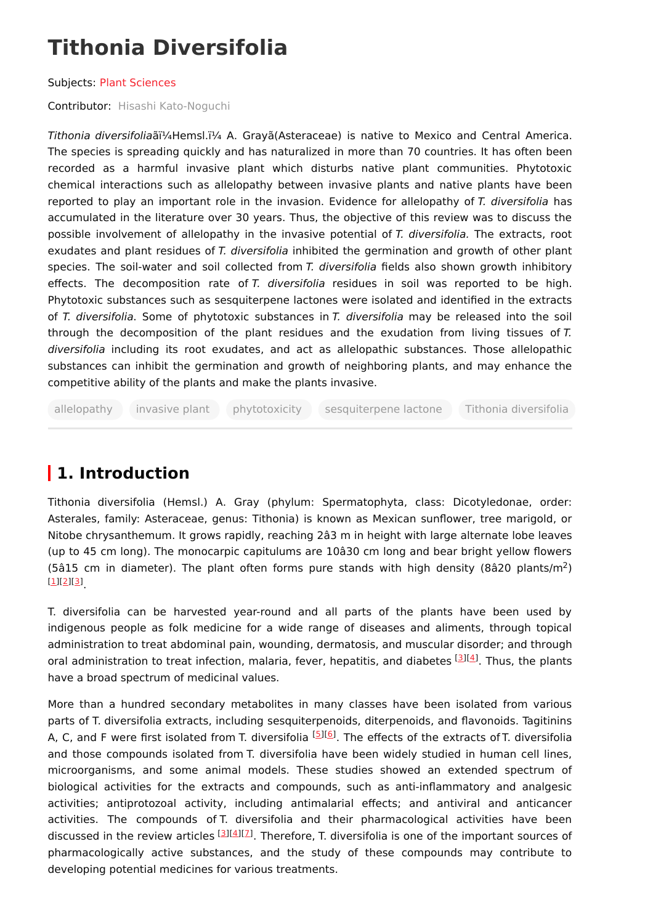# **Tithonia Diversifolia**

#### Subjects: Plant [Sciences](https://encyclopedia.pub/entry/subject/10)

Contributor: Hisashi [Kato-Noguchi](https://sciprofiles.com/profile/75389)

Tithonia diversifoliaãï¼Hemsl.ï¼ A. Grayã(Asteraceae) is native to Mexico and Central America. The species is spreading quickly and has naturalized in more than 70 countries. It has often been recorded as a harmful invasive plant which disturbs native plant communities. Phytotoxic chemical interactions such as allelopathy between invasive plants and native plants have been reported to play an important role in the invasion. Evidence for allelopathy of T. diversifolia has accumulated in the literature over 30 years. Thus, the objective of this review was to discuss the possible involvement of allelopathy in the invasive potential of T. diversifolia. The extracts, root exudates and plant residues of T. diversifolia inhibited the germination and growth of other plant species. The soil-water and soil collected from T. diversifolia fields also shown growth inhibitory effects. The decomposition rate of T. diversifolia residues in soil was reported to be high. Phytotoxic substances such as sesquiterpene lactones were isolated and identified in the extracts of T. diversifolia. Some of phytotoxic substances in T. diversifolia may be released into the soil through the decomposition of the plant residues and the exudation from living tissues of  $T$ . diversifolia including its root exudates, and act as allelopathic substances. Those allelopathic substances can inhibit the germination and growth of neighboring plants, and may enhance the competitive ability of the plants and make the plants invasive.

allelopathy invasive plant phytotoxicity sesquiterpene lactone Tithonia diversifolia

## **1. Introduction**

Tithonia diversifolia (Hemsl.) A. Gray (phylum: Spermatophyta, class: Dicotyledonae, order: Asterales, family: Asteraceae, genus: Tithonia) is known as Mexican sunflower, tree marigold, or Nitobe chrysanthemum. It grows rapidly, reaching 2â3 m in height with large alternate lobe leaves (up to 45 cm long). The monocarpic capitulums are 10â30 cm long and bear bright yellow flowers (5â15 cm in diameter). The plant often forms pure stands with high density (8â20 plants/m<sup>2</sup>) . [\[1](#page-2-0)][\[2](#page-2-1)][[3](#page-2-2)]

T. diversifolia can be harvested year-round and all parts of the plants have been used by indigenous people as folk medicine for a wide range of diseases and aliments, through topical administration to treat abdominal pain, wounding, dermatosis, and muscular disorder; and through oral administration to treat infection, malaria, fever, hepatitis, and diabetes [\[3](#page-2-2)][[4](#page-2-3)]. Thus, the plants have a broad spectrum of medicinal values.

More than a hundred secondary metabolites in many classes have been isolated from various parts of T. diversifolia extracts, including sesquiterpenoids, diterpenoids, and flavonoids. Tagitinins A, C, and F were first isolated from T. diversifolia <sup>[\[5](#page-2-4)][\[6](#page-2-5)]</sup>. The effects of the extracts of T. diversifolia and those compounds isolated from T. diversifolia have been widely studied in human cell lines, microorganisms, and some animal models. These studies showed an extended spectrum of biological activities for the extracts and compounds, such as anti-inflammatory and analgesic activities; antiprotozoal activity, including antimalarial effects; and antiviral and anticancer activities. The compounds of T. diversifolia and their pharmacological activities have been discussed in the review articles  $^{[3][4][7]}$  $^{[3][4][7]}$  $^{[3][4][7]}$  $^{[3][4][7]}$  $^{[3][4][7]}$  $^{[3][4][7]}$  $^{[3][4][7]}$ . Therefore, T. diversifolia is one of the important sources of pharmacologically active substances, and the study of these compounds may contribute to developing potential medicines for various treatments.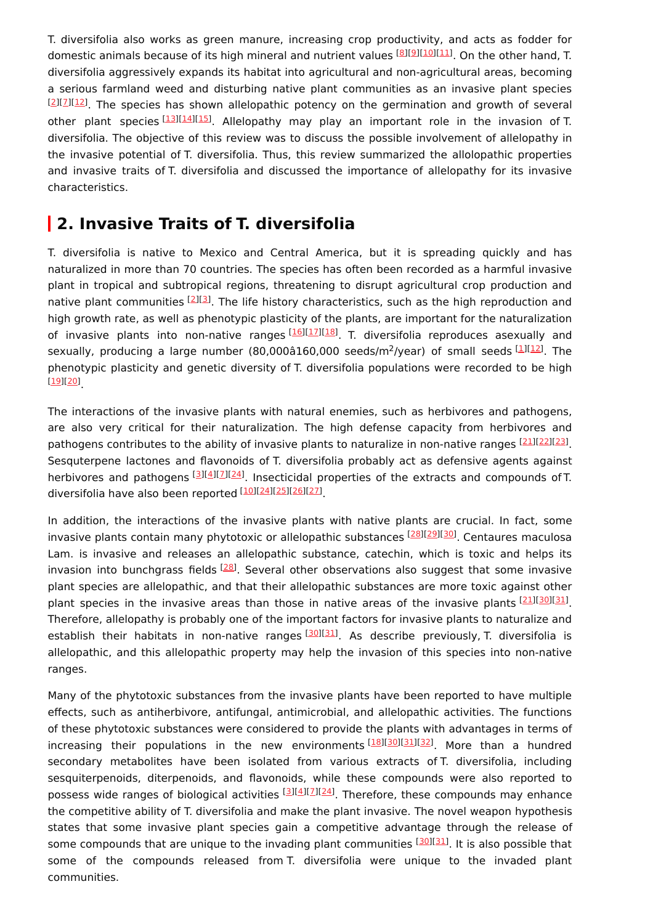T. diversifolia also works as green manure, increasing crop productivity, and acts as fodder for domestic animals because of its high mineral and nutrient values [[8](#page-2-7)][\[9](#page-2-8)][[10](#page-2-9)][\[11\]](#page-2-10). On the other hand, T. diversifolia aggressively expands its habitat into agricultural and non-agricultural areas, becoming a serious farmland weed and disturbing native plant communities as an invasive plant species  $^{[2][1][12]}$  $^{[2][1][12]}$  $^{[2][1][12]}$  $^{[2][1][12]}$  $^{[2][1][12]}$ . The species has shown allelopathic potency on the germination and growth of several other plant species<sup>[[13\]](#page-3-0)[[14\]](#page-3-1)[[15\]](#page-3-2)</sup>. Allelopathy may play an important role in the invasion of T. diversifolia. The objective of this review was to discuss the possible involvement of allelopathy in the invasive potential of T. diversifolia. Thus, this review summarized the allolopathic properties and invasive traits of T. diversifolia and discussed the importance of allelopathy for its invasive characteristics.

### **2. Invasive Traits of T. diversifolia**

T. diversifolia is native to Mexico and Central America, but it is spreading quickly and has naturalized in more than 70 countries. The species has often been recorded as a harmful invasive plant in tropical and subtropical regions, threatening to disrupt agricultural crop production and native plant communities [\[2](#page-2-1)][\[3](#page-2-2)]. The life history characteristics, such as the high reproduction and high growth rate, as well as phenotypic plasticity of the plants, are important for the naturalization of invasive plants into non-native ranges <sup>[[16](#page-3-3)][\[17](#page-3-4)][[18](#page-3-5)]</sup>. T. diversifolia reproduces asexually and sexually, producing a large number (80,000â160,000 seeds/m<sup>2</sup>/year) of small seeds [\[1](#page-2-0)][\[12](#page-2-11)]. The phenotypic plasticity and genetic diversity of T. diversifolia populations were recorded to be high . [\[19\]](#page-3-6)[[20](#page-3-7)]

The interactions of the invasive plants with natural enemies, such as herbivores and pathogens, are also very critical for their naturalization. The high defense capacity from herbivores and pathogens contributes to the ability of invasive plants to naturalize in non-native ranges [\[21](#page-3-8)][\[22](#page-3-9)][\[23](#page-3-10)]. Sesquterpene lactones and flavonoids of T. diversifolia probably act as defensive agents against herbivores and pathogens <a>[\[3](#page-2-2)][\[4](#page-2-3)][[7](#page-2-6)][[24\]](#page-3-11)</a>. Insecticidal properties of the extracts and compounds of T. diversifolia have also been reported [\[10](#page-2-9)][\[24](#page-3-11)][\[25](#page-3-12)][\[26](#page-3-13)][\[27](#page-3-14)]

In addition, the interactions of the invasive plants with native plants are crucial. In fact, some invasive plants contain many phytotoxic or allelopathic substances [[28](#page-3-15)][\[29](#page-3-16)][[30](#page-3-17)]. Centaures maculosa Lam. is invasive and releases an allelopathic substance, catechin, which is toxic and helps its invasion into bunchgrass fields  $^{[28]}$  $^{[28]}$  $^{[28]}$ . Several other observations also suggest that some invasive plant species are allelopathic, and that their allelopathic substances are more toxic against other plant species in the invasive areas than those in native areas of the invasive plants [\[21](#page-3-8)][\[30](#page-3-17)][\[31](#page-3-18)]. Therefore, allelopathy is probably one of the important factors for invasive plants to naturalize and establish their habitats in non-native ranges<sup>[\[30](#page-3-17)][[31](#page-3-18)]</sup>. As describe previously, T. diversifolia is allelopathic, and this allelopathic property may help the invasion of this species into non-native ranges.

Many of the phytotoxic substances from the invasive plants have been reported to have multiple effects, such as antiherbivore, antifungal, antimicrobial, and allelopathic activities. The functions of these phytotoxic substances were considered to provide the plants with advantages in terms of increasing their populations in the new environments<sup>[[18](#page-3-5)][\[30](#page-3-17)][[31](#page-3-18)][\[32](#page-4-0)]</sup>. More than a hundred secondary metabolites have been isolated from various extracts of T. diversifolia, including sesquiterpenoids, diterpenoids, and flavonoids, while these compounds were also reported to possess wide ranges of biological activities [\[3](#page-2-2)][[4](#page-2-3)][2][\[24](#page-3-11)]. Therefore, these compounds may enhance the competitive ability of T. diversifolia and make the plant invasive. The novel weapon hypothesis states that some invasive plant species gain a competitive advantage through the release of some compounds that are unique to the invading plant communities [[30](#page-3-17)][[31](#page-3-18)]. It is also possible that some of the compounds released from T. diversifolia were unique to the invaded plant communities.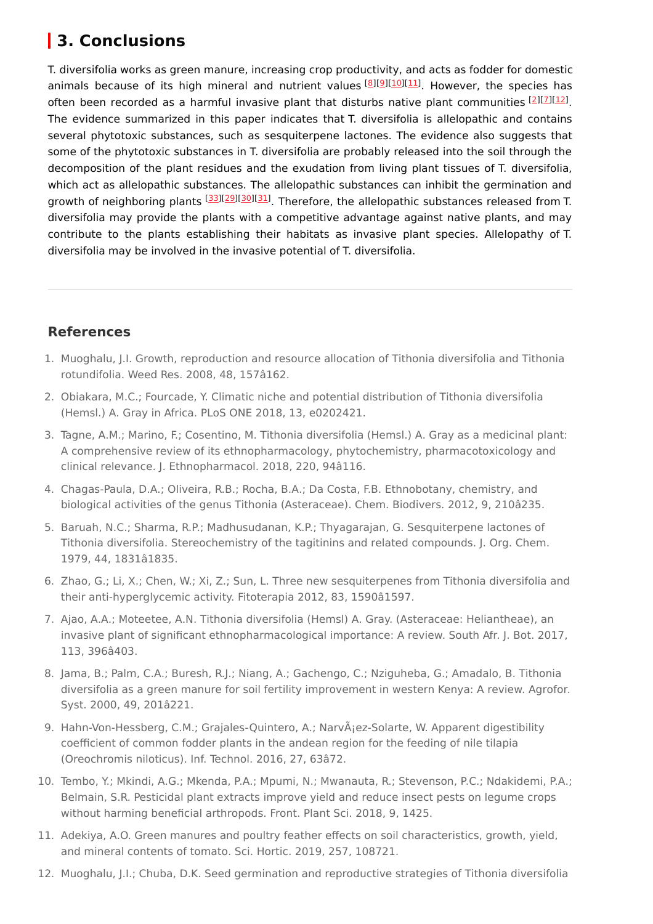# **3. Conclusions**

T. diversifolia works as green manure, increasing crop productivity, and acts as fodder for domestic animals because of its high mineral and nutrient values [\[8](#page-2-7)][[9](#page-2-8)][\[10](#page-2-9)][\[11](#page-2-10)]. However, the species has often been recorded as a harmful invasive plant that disturbs native plant communities  $[2]$  $[2]$ [ $2$ ][ $12$ ]. The evidence summarized in this paper indicates that T. diversifolia is allelopathic and contains several phytotoxic substances, such as sesquiterpene lactones. The evidence also suggests that some of the phytotoxic substances in T. diversifolia are probably released into the soil through the decomposition of the plant residues and the exudation from living plant tissues of T. diversifolia, which act as allelopathic substances. The allelopathic substances can inhibit the germination and growth of neighboring plants [[33\]](#page-4-1)[[29\]](#page-3-16)[[30\]](#page-3-17)[[31\]](#page-3-18). Therefore, the allelopathic substances released from T. diversifolia may provide the plants with a competitive advantage against native plants, and may contribute to the plants establishing their habitats as invasive plant species. Allelopathy of T. diversifolia may be involved in the invasive potential of T. diversifolia.

#### **References**

- <span id="page-2-0"></span>1. Muoghalu, J.I. Growth, reproduction and resource allocation of Tithonia diversifolia and Tithonia rotundifolia. Weed Res. 2008, 48, 157â162.
- <span id="page-2-1"></span>2. Obiakara, M.C.; Fourcade, Y. Climatic niche and potential distribution of Tithonia diversifolia (Hemsl.) A. Gray in Africa. PLoS ONE 2018, 13, e0202421.
- <span id="page-2-2"></span>3. Tagne, A.M.; Marino, F.; Cosentino, M. Tithonia diversifolia (Hemsl.) A. Gray as a medicinal plant: A comprehensive review of its ethnopharmacology, phytochemistry, pharmacotoxicology and clinical relevance. J. Ethnopharmacol. 2018, 220, 94â116.
- <span id="page-2-3"></span>4. Chagas-Paula, D.A.; Oliveira, R.B.; Rocha, B.A.; Da Costa, F.B. Ethnobotany, chemistry, and biological activities of the genus Tithonia (Asteraceae). Chem. Biodivers. 2012, 9, 210â235.
- <span id="page-2-4"></span>5. Baruah, N.C.; Sharma, R.P.; Madhusudanan, K.P.; Thyagarajan, G. Sesquiterpene lactones of Tithonia diversifolia. Stereochemistry of the tagitinins and related compounds. J. Org. Chem. 1979, 44, 1831â1835.
- <span id="page-2-5"></span>6. Zhao, G.; Li, X.; Chen, W.; Xi, Z.; Sun, L. Three new sesquiterpenes from Tithonia diversifolia and their anti-hyperglycemic activity. Fitoterapia 2012, 83, 1590â1597.
- <span id="page-2-6"></span>7. Ajao, A.A.; Moteetee, A.N. Tithonia diversifolia (Hemsl) A. Gray. (Asteraceae: Heliantheae), an invasive plant of significant ethnopharmacological importance: A review. South Afr. J. Bot. 2017, 113, 396â403.
- <span id="page-2-7"></span>8. Jama, B.; Palm, C.A.; Buresh, R.J.; Niang, A.; Gachengo, C.; Nziguheba, G.; Amadalo, B. Tithonia diversifolia as a green manure for soil fertility improvement in western Kenya: A review. Agrofor. Syst. 2000, 49, 201â221.
- <span id="page-2-8"></span>9. Hahn-Von-Hessberg, C.M.; Grajales-Quintero, A.; Narv $\tilde{A}$ iez-Solarte, W. Apparent digestibility coefficient of common fodder plants in the andean region for the feeding of nile tilapia (Oreochromis niloticus). Inf. Technol. 2016, 27, 63â72.
- <span id="page-2-9"></span>10. Tembo, Y.; Mkindi, A.G.; Mkenda, P.A.; Mpumi, N.; Mwanauta, R.; Stevenson, P.C.; Ndakidemi, P.A.; Belmain, S.R. Pesticidal plant extracts improve yield and reduce insect pests on legume crops without harming beneficial arthropods. Front. Plant Sci. 2018, 9, 1425.
- <span id="page-2-10"></span>11. Adekiya, A.O. Green manures and poultry feather effects on soil characteristics, growth, yield, and mineral contents of tomato. Sci. Hortic. 2019, 257, 108721.
- <span id="page-2-11"></span>12. Muoghalu, J.I.; Chuba, D.K. Seed germination and reproductive strategies of Tithonia diversifolia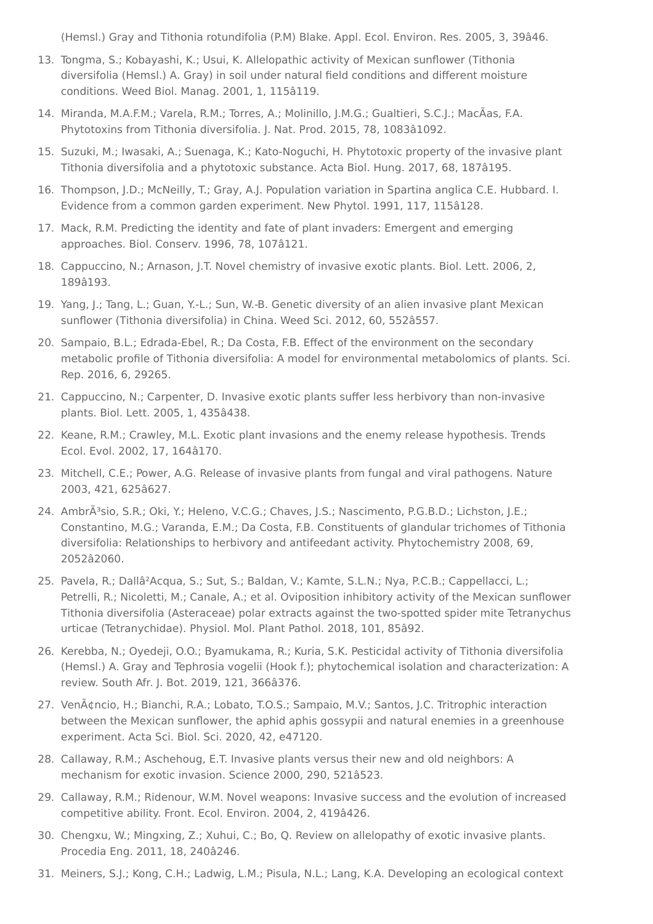<span id="page-3-0"></span>(Hemsl.) Gray and Tithonia rotundifolia (P.M) Blake. Appl. Ecol. Environ. Res. 2005, 3, 39â46.

- 13. Tongma, S.; Kobayashi, K.; Usui, K. Allelopathic activity of Mexican sunflower (Tithonia diversifolia (Hemsl.) A. Gray) in soil under natural field conditions and different moisture conditions. Weed Biol. Manag. 2001, 1, 115â119.
- <span id="page-3-1"></span>14. Miranda, M.A.F.M.; Varela, R.M.; Torres, A.; Molinillo, J.M.G.; Gualtieri, S.C.J.; MacÃas, F.A. Phytotoxins from Tithonia diversifolia. J. Nat. Prod. 2015, 78, 1083â1092.
- <span id="page-3-2"></span>15. Suzuki, M.; Iwasaki, A.; Suenaga, K.; Kato-Noguchi, H. Phytotoxic property of the invasive plant Tithonia diversifolia and a phytotoxic substance. Acta Biol. Hung. 2017, 68, 187â195.
- <span id="page-3-3"></span>16. Thompson, J.D.; McNeilly, T.; Gray, A.J. Population variation in Spartina anglica C.E. Hubbard. I. Evidence from a common garden experiment. New Phytol. 1991, 117, 115â128.
- <span id="page-3-4"></span>17. Mack, R.M. Predicting the identity and fate of plant invaders: Emergent and emerging approaches. Biol. Conserv. 1996, 78, 107â121.
- <span id="page-3-5"></span>18. Cappuccino, N.; Arnason, J.T. Novel chemistry of invasive exotic plants. Biol. Lett. 2006, 2, 189â193.
- <span id="page-3-6"></span>19. Yang, J.; Tang, L.; Guan, Y.-L.; Sun, W.-B. Genetic diversity of an alien invasive plant Mexican sunflower (Tithonia diversifolia) in China. Weed Sci. 2012, 60, 552â557.
- <span id="page-3-7"></span>20. Sampaio, B.L.; Edrada-Ebel, R.; Da Costa, F.B. Effect of the environment on the secondary metabolic profile of Tithonia diversifolia: A model for environmental metabolomics of plants. Sci. Rep. 2016, 6, 29265.
- <span id="page-3-8"></span>21. Cappuccino, N.; Carpenter, D. Invasive exotic plants suffer less herbivory than non-invasive plants. Biol. Lett. 2005, 1, 435â438.
- <span id="page-3-9"></span>22. Keane, R.M.; Crawley, M.L. Exotic plant invasions and the enemy release hypothesis. Trends Ecol. Evol. 2002, 17, 164â170.
- <span id="page-3-10"></span>23. Mitchell, C.E.; Power, A.G. Release of invasive plants from fungal and viral pathogens. Nature 2003, 421, 625â627.
- <span id="page-3-11"></span>24. AmbrÃ<sup>3</sup>sio, S.R.; Oki, Y.; Heleno, V.C.G.; Chaves, I.S.; Nascimento, P.G.B.D.; Lichston, I.E.; Constantino, M.G.; Varanda, E.M.; Da Costa, F.B. Constituents of glandular trichomes of Tithonia diversifolia: Relationships to herbivory and antifeedant activity. Phytochemistry 2008, 69, 2052â2060.
- <span id="page-3-12"></span>25. Pavela, R.; Dallâ²Acqua, S.; Sut, S.; Baldan, V.; Kamte, S.L.N.; Nya, P.C.B.; Cappellacci, L.; Petrelli, R.; Nicoletti, M.; Canale, A.; et al. Oviposition inhibitory activity of the Mexican sunflower Tithonia diversifolia (Asteraceae) polar extracts against the two-spotted spider mite Tetranychus urticae (Tetranychidae). Physiol. Mol. Plant Pathol. 2018, 101, 85â92.
- <span id="page-3-13"></span>26. Kerebba, N.; Oyedeji, O.O.; Byamukama, R.; Kuria, S.K. Pesticidal activity of Tithonia diversifolia (Hemsl.) A. Gray and Tephrosia vogelii (Hook f.); phytochemical isolation and characterization: A review. South Afr. J. Bot. 2019, 121, 366â376.
- <span id="page-3-14"></span>27. Venâncio, H.; Bianchi, R.A.; Lobato, T.O.S.; Sampaio, M.V.; Santos, J.C. Tritrophic interaction between the Mexican sunflower, the aphid aphis gossypii and natural enemies in a greenhouse experiment. Acta Sci. Biol. Sci. 2020, 42, e47120.
- <span id="page-3-15"></span>28. Callaway, R.M.; Aschehoug, E.T. Invasive plants versus their new and old neighbors: A mechanism for exotic invasion. Science 2000, 290, 521â523.
- <span id="page-3-16"></span>29. Callaway, R.M.; Ridenour, W.M. Novel weapons: Invasive success and the evolution of increased competitive ability. Front. Ecol. Environ. 2004, 2, 419â426.
- <span id="page-3-17"></span>30. Chengxu, W.; Mingxing, Z.; Xuhui, C.; Bo, Q. Review on allelopathy of exotic invasive plants. Procedia Eng. 2011, 18, 240â246.
- <span id="page-3-18"></span>31. Meiners, S.J.; Kong, C.H.; Ladwig, L.M.; Pisula, N.L.; Lang, K.A. Developing an ecological context